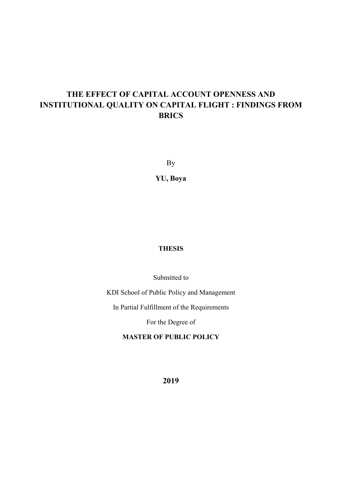# **THE EFFECT OF CAPITAL ACCOUNT OPENNESS AND INSTITUTIONAL QUALITY ON CAPITAL FLIGHT : FINDINGS FROM BRICS**

By

**YU, Boya** 

## **THESIS**

Submitted to

KDI School of Public Policy and Management

In Partial Fulfillment of the Requirements

For the Degree of

**MASTER OF PUBLIC POLICY** 

**2019**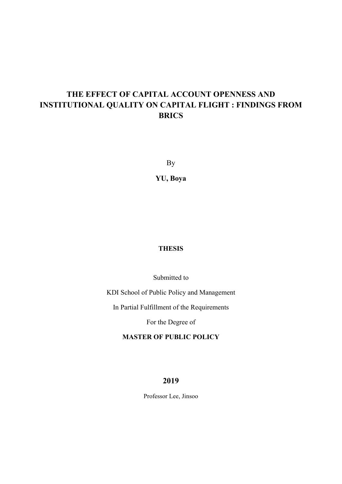# **THE EFFECT OF CAPITAL ACCOUNT OPENNESS AND INSTITUTIONAL QUALITY ON CAPITAL FLIGHT : FINDINGS FROM BRICS**

By

**YU, Boya** 

## **THESIS**

Submitted to

KDI School of Public Policy and Management

In Partial Fulfillment of the Requirements

For the Degree of

## **MASTER OF PUBLIC POLICY**

## **2019**

Professor Lee, Jinsoo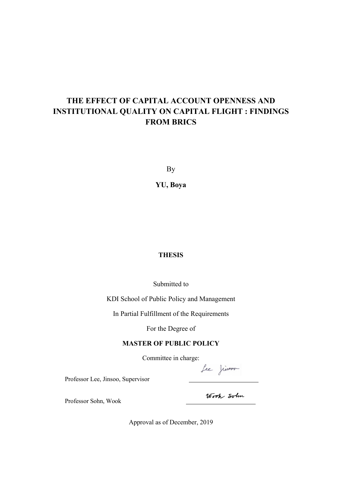# **THE EFFECT OF CAPITAL ACCOUNT OPENNESS AND INSTITUTIONAL QUALITY ON CAPITAL FLIGHT : FINDINGS FROM BRICS**

By

**YU, Boya** 

#### **THESIS**

Submitted to

KDI School of Public Policy and Management

In Partial Fulfillment of the Requirements

For the Degree of

## **MASTER OF PUBLIC POLICY**

Committee in charge:

Lee Juinson

Professor Lee, Jinsoo, Supervisor

Professor Sohn, Wook

Wook Solm

Approval as of December, 2019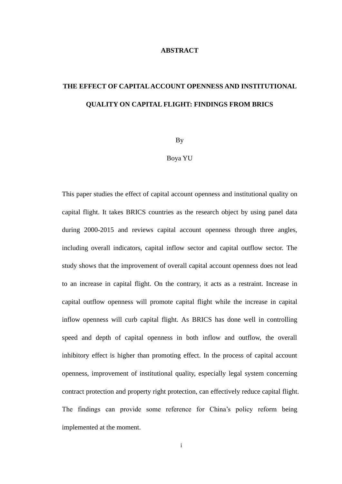#### **ABSTRACT**

# **THE EFFECT OF CAPITAL ACCOUNT OPENNESS AND INSTITUTIONAL QUALITY ON CAPITAL FLIGHT: FINDINGS FROM BRICS**

By

#### Boya YU

This paper studies the effect of capital account openness and institutional quality on capital flight. It takes BRICS countries as the research object by using panel data during 2000-2015 and reviews capital account openness through three angles, including overall indicators, capital inflow sector and capital outflow sector. The study shows that the improvement of overall capital account openness does not lead to an increase in capital flight. On the contrary, it acts as a restraint. Increase in capital outflow openness will promote capital flight while the increase in capital inflow openness will curb capital flight. As BRICS has done well in controlling speed and depth of capital openness in both inflow and outflow, the overall inhibitory effect is higher than promoting effect. In the process of capital account openness, improvement of institutional quality, especially legal system concerning contract protection and property right protection, can effectively reduce capital flight. The findings can provide some reference for China's policy reform being implemented at the moment.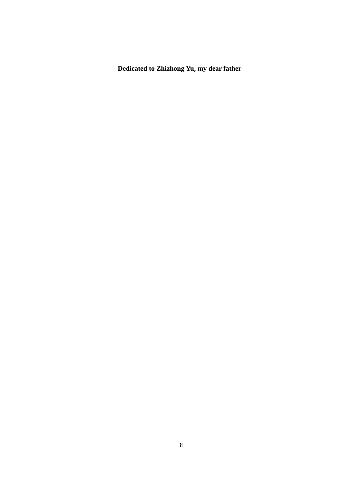**Dedicated to Zhizhong Yu, my dear father**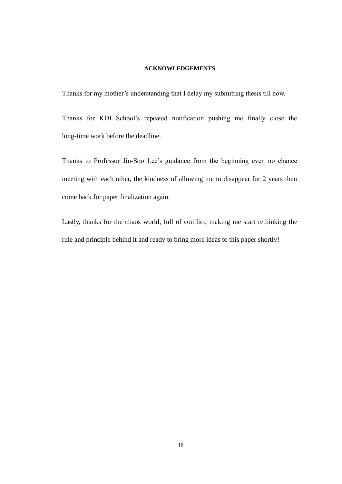#### **ACKNOWLEDGEMENTS**

Thanks for my mother's understanding that I delay my submitting thesis till now.

Thanks for KDI School's repeated notification pushing me finally close the long-time work before the deadline.

Thanks to Professor Jin-Soo Lee's guidance from the beginning even no chance meeting with each other, the kindness of allowing me to disappear for 2 years then come back for paper finalization again.

Lastly, thanks for the chaos world, full of conflict, making me start rethinking the rule and principle behind it and ready to bring more ideas to this paper shortly!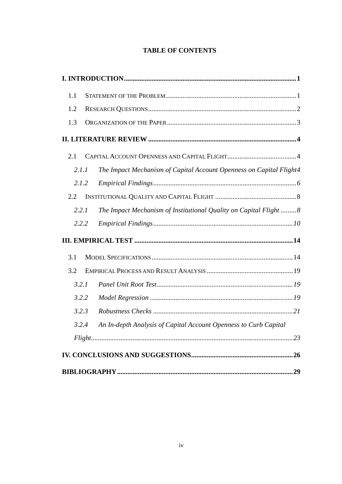## **TABLE OF CONTENTS**

| 1.1   |       |                                                                     |  |
|-------|-------|---------------------------------------------------------------------|--|
| 1.2   |       |                                                                     |  |
| 1.3   |       |                                                                     |  |
|       |       |                                                                     |  |
| 2.1   |       |                                                                     |  |
| 2.1.1 |       | The Impact Mechanism of Capital Account Openness on Capital Flight4 |  |
| 2.1.2 |       |                                                                     |  |
| 2.2   |       |                                                                     |  |
|       | 2.2.1 | The Impact Mechanism of Institutional Quality on Capital Flight 8   |  |
| 2.2.2 |       |                                                                     |  |
|       |       |                                                                     |  |
| 3.1   |       |                                                                     |  |
| 3.2   |       |                                                                     |  |
| 3.2.1 |       |                                                                     |  |
| 3.2.2 |       |                                                                     |  |
| 3.2.3 |       |                                                                     |  |
| 3.2.4 |       | An In-depth Analysis of Capital Account Openness to Curb Capital    |  |
|       |       |                                                                     |  |
|       |       |                                                                     |  |
|       |       |                                                                     |  |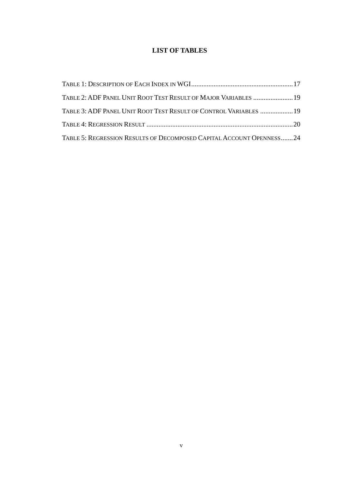## **LIST OF TABLES**

| TABLE 2: ADF PANEL UNIT ROOT TEST RESULT OF MAJOR VARIABLES  19      |  |
|----------------------------------------------------------------------|--|
| TABLE 3: ADF PANEL UNIT ROOT TEST RESULT OF CONTROL VARIABLES  19    |  |
|                                                                      |  |
| TABLE 5: REGRESSION RESULTS OF DECOMPOSED CAPITAL ACCOUNT OPENNESS24 |  |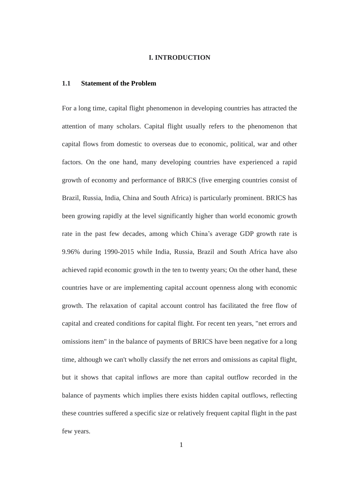#### **I. INTRODUCTION**

#### <span id="page-8-1"></span><span id="page-8-0"></span>**1.1 Statement of the Problem**

For a long time, capital flight phenomenon in developing countries has attracted the attention of many scholars. Capital flight usually refers to the phenomenon that capital flows from domestic to overseas due to economic, political, war and other factors. On the one hand, many developing countries have experienced a rapid growth of economy and performance of BRICS (five emerging countries consist of Brazil, Russia, India, China and South Africa) is particularly prominent. BRICS has been growing rapidly at the level significantly higher than world economic growth rate in the past few decades, among which China's average GDP growth rate is 9.96% during 1990-2015 while India, Russia, Brazil and South Africa have also achieved rapid economic growth in the ten to twenty years; On the other hand, these countries have or are implementing capital account openness along with economic growth. The relaxation of capital account control has facilitated the free flow of capital and created conditions for capital flight. For recent ten years, "net errors and omissions item" in the balance of payments of BRICS have been negative for a long time, although we can't wholly classify the net errors and omissions as capital flight, but it shows that capital inflows are more than capital outflow recorded in the balance of payments which implies there exists hidden capital outflows, reflecting these countries suffered a specific size or relatively frequent capital flight in the past few years.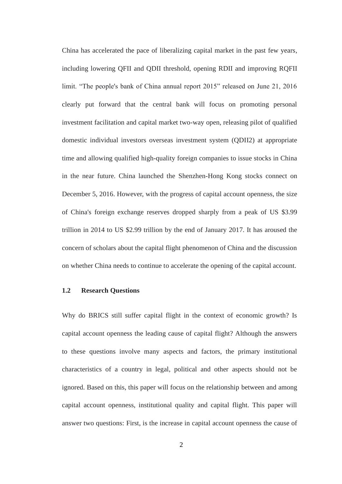China has accelerated the pace of liberalizing capital market in the past few years, including lowering QFII and QDII threshold, opening RDII and improving RQFII limit. "The people's bank of China annual report 2015" released on June 21, 2016 clearly put forward that the central bank will focus on promoting personal investment facilitation and capital market two-way open, releasing pilot of qualified domestic individual investors overseas investment system (QDII2) at appropriate time and allowing qualified high-quality foreign companies to issue stocks in China in the near future. China launched the Shenzhen-Hong Kong stocks connect on December 5, 2016. However, with the progress of capital account openness, the size of China's foreign exchange reserves dropped sharply from a peak of US \$3.99 trillion in 2014 to US \$2.99 trillion by the end of January 2017. It has aroused the concern of scholars about the capital flight phenomenon of China and the discussion on whether China needs to continue to accelerate the opening of the capital account.

#### <span id="page-9-0"></span>**1.2 Research Questions**

Why do BRICS still suffer capital flight in the context of economic growth? Is capital account openness the leading cause of capital flight? Although the answers to these questions involve many aspects and factors, the primary institutional characteristics of a country in legal, political and other aspects should not be ignored. Based on this, this paper will focus on the relationship between and among capital account openness, institutional quality and capital flight. This paper will answer two questions: First, is the increase in capital account openness the cause of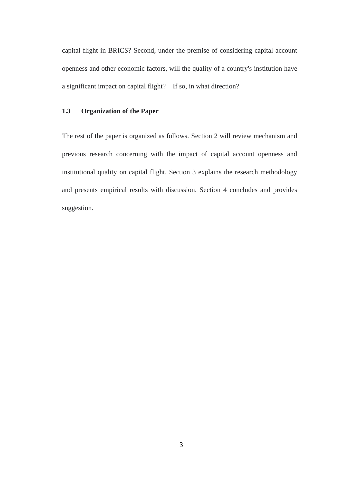capital flight in BRICS? Second, under the premise of considering capital account openness and other economic factors, will the quality of a country's institution have a significant impact on capital flight? If so, in what direction?

## <span id="page-10-0"></span>**1.3 Organization of the Paper**

The rest of the paper is organized as follows. Section 2 will review mechanism and previous research concerning with the impact of capital account openness and institutional quality on capital flight. Section 3 explains the research methodology and presents empirical results with discussion. Section 4 concludes and provides suggestion.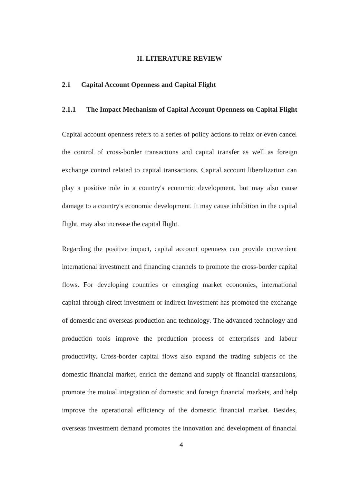#### **II. LITERATURE REVIEW**

#### <span id="page-11-2"></span><span id="page-11-1"></span><span id="page-11-0"></span>**2.1 Capital Account Openness and Capital Flight**

#### **2.1.1 The Impact Mechanism of Capital Account Openness on Capital Flight**

Capital account openness refers to a series of policy actions to relax or even cancel the control of cross-border transactions and capital transfer as well as foreign exchange control related to capital transactions. Capital account liberalization can play a positive role in a country's economic development, but may also cause damage to a country's economic development. It may cause inhibition in the capital flight, may also increase the capital flight.

Regarding the positive impact, capital account openness can provide convenient international investment and financing channels to promote the cross-border capital flows. For developing countries or emerging market economies, international capital through direct investment or indirect investment has promoted the exchange of domestic and overseas production and technology. The advanced technology and production tools improve the production process of enterprises and labour productivity. Cross-border capital flows also expand the trading subjects of the domestic financial market, enrich the demand and supply of financial transactions, promote the mutual integration of domestic and foreign financial markets, and help improve the operational efficiency of the domestic financial market. Besides, overseas investment demand promotes the innovation and development of financial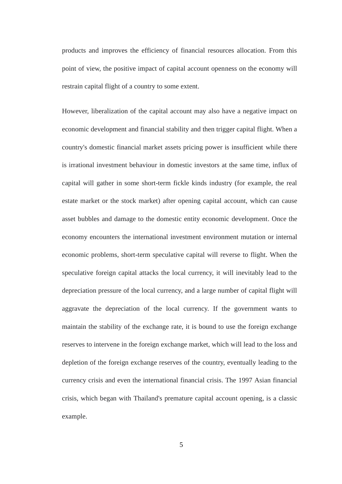products and improves the efficiency of financial resources allocation. From this point of view, the positive impact of capital account openness on the economy will restrain capital flight of a country to some extent.

However, liberalization of the capital account may also have a negative impact on economic development and financial stability and then trigger capital flight. When a country's domestic financial market assets pricing power is insufficient while there is irrational investment behaviour in domestic investors at the same time, influx of capital will gather in some short-term fickle kinds industry (for example, the real estate market or the stock market) after opening capital account, which can cause asset bubbles and damage to the domestic entity economic development. Once the economy encounters the international investment environment mutation or internal economic problems, short-term speculative capital will reverse to flight. When the speculative foreign capital attacks the local currency, it will inevitably lead to the depreciation pressure of the local currency, and a large number of capital flight will aggravate the depreciation of the local currency. If the government wants to maintain the stability of the exchange rate, it is bound to use the foreign exchange reserves to intervene in the foreign exchange market, which will lead to the loss and depletion of the foreign exchange reserves of the country, eventually leading to the currency crisis and even the international financial crisis. The 1997 Asian financial crisis, which began with Thailand's premature capital account opening, is a classic example.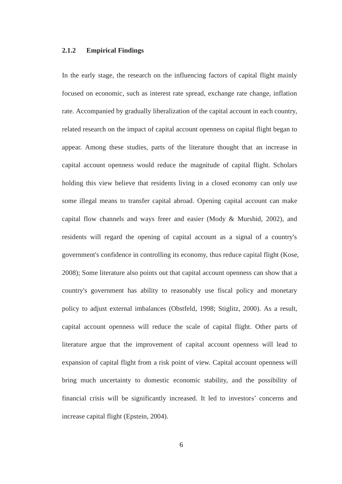#### <span id="page-13-0"></span>**2.1.2 Empirical Findings**

In the early stage, the research on the influencing factors of capital flight mainly focused on economic, such as interest rate spread, exchange rate change, inflation rate. Accompanied by gradually liberalization of the capital account in each country, related research on the impact of capital account openness on capital flight began to appear. Among these studies, parts of the literature thought that an increase in capital account openness would reduce the magnitude of capital flight. Scholars holding this view believe that residents living in a closed economy can only use some illegal means to transfer capital abroad. Opening capital account can make capital flow channels and ways freer and easier (Mody & Murshid, 2002), and residents will regard the opening of capital account as a signal of a country's government's confidence in controlling its economy, thus reduce capital flight (Kose, 2008); Some literature also points out that capital account openness can show that a country's government has ability to reasonably use fiscal policy and monetary policy to adjust external imbalances (Obstfeld, 1998; Stiglitz, 2000). As a result, capital account openness will reduce the scale of capital flight. Other parts of literature argue that the improvement of capital account openness will lead to expansion of capital flight from a risk point of view. Capital account openness will bring much uncertainty to domestic economic stability, and the possibility of financial crisis will be significantly increased. It led to investors' concerns and increase capital flight (Epstein, 2004).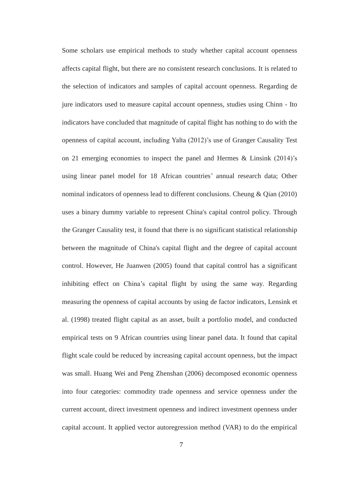Some scholars use empirical methods to study whether capital account openness affects capital flight, but there are no consistent research conclusions. It is related to the selection of indicators and samples of capital account openness. Regarding de jure indicators used to measure capital account openness, studies using Chinn - Ito indicators have concluded that magnitude of capital flight has nothing to do with the openness of capital account, including Yalta (2012)'s use of Granger Causality Test on 21 emerging economies to inspect the panel and Hermes & Linsink (2014)'s using linear panel model for 18 African countries' annual research data; Other nominal indicators of openness lead to different conclusions. Cheung & Qian (2010) uses a binary dummy variable to represent China's capital control policy. Through the Granger Causality test, it found that there is no significant statistical relationship between the magnitude of China's capital flight and the degree of capital account control. However, He Juanwen (2005) found that capital control has a significant inhibiting effect on China's capital flight by using the same way. Regarding measuring the openness of capital accounts by using de factor indicators, Lensink et al. (1998) treated flight capital as an asset, built a portfolio model, and conducted empirical tests on 9 African countries using linear panel data. It found that capital flight scale could be reduced by increasing capital account openness, but the impact was small. Huang Wei and Peng Zhenshan (2006) decomposed economic openness into four categories: commodity trade openness and service openness under the current account, direct investment openness and indirect investment openness under capital account. It applied vector autoregression method (VAR) to do the empirical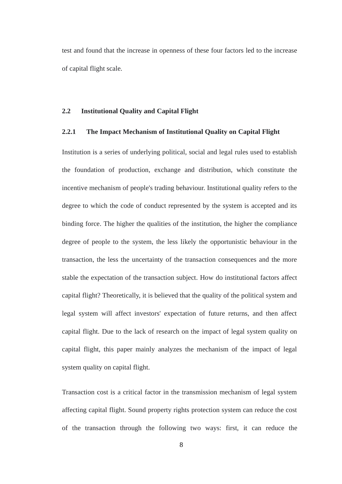test and found that the increase in openness of these four factors led to the increase of capital flight scale.

#### <span id="page-15-0"></span>**2.2 Institutional Quality and Capital Flight**

#### <span id="page-15-1"></span>**2.2.1 The Impact Mechanism of Institutional Quality on Capital Flight**

Institution is a series of underlying political, social and legal rules used to establish the foundation of production, exchange and distribution, which constitute the incentive mechanism of people's trading behaviour. Institutional quality refers to the degree to which the code of conduct represented by the system is accepted and its binding force. The higher the qualities of the institution, the higher the compliance degree of people to the system, the less likely the opportunistic behaviour in the transaction, the less the uncertainty of the transaction consequences and the more stable the expectation of the transaction subject. How do institutional factors affect capital flight? Theoretically, it is believed that the quality of the political system and legal system will affect investors' expectation of future returns, and then affect capital flight. Due to the lack of research on the impact of legal system quality on capital flight, this paper mainly analyzes the mechanism of the impact of legal system quality on capital flight.

Transaction cost is a critical factor in the transmission mechanism of legal system affecting capital flight. Sound property rights protection system can reduce the cost of the transaction through the following two ways: first, it can reduce the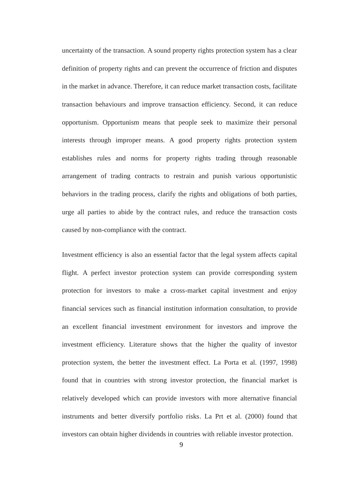uncertainty of the transaction. A sound property rights protection system has a clear definition of property rights and can prevent the occurrence of friction and disputes in the market in advance. Therefore, it can reduce market transaction costs, facilitate transaction behaviours and improve transaction efficiency. Second, it can reduce opportunism. Opportunism means that people seek to maximize their personal interests through improper means. A good property rights protection system establishes rules and norms for property rights trading through reasonable arrangement of trading contracts to restrain and punish various opportunistic behaviors in the trading process, clarify the rights and obligations of both parties, urge all parties to abide by the contract rules, and reduce the transaction costs caused by non-compliance with the contract.

Investment efficiency is also an essential factor that the legal system affects capital flight. A perfect investor protection system can provide corresponding system protection for investors to make a cross-market capital investment and enjoy financial services such as financial institution information consultation, to provide an excellent financial investment environment for investors and improve the investment efficiency. Literature shows that the higher the quality of investor protection system, the better the investment effect. La Porta et al. (1997, 1998) found that in countries with strong investor protection, the financial market is relatively developed which can provide investors with more alternative financial instruments and better diversify portfolio risks. La Prt et al. (2000) found that investors can obtain higher dividends in countries with reliable investor protection.

9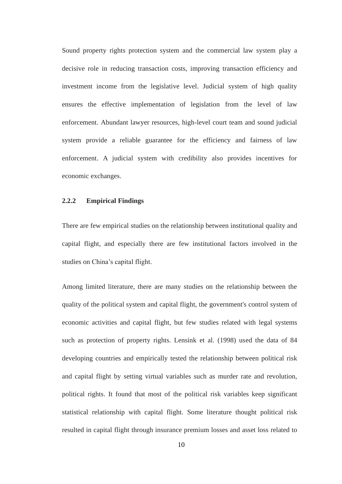Sound property rights protection system and the commercial law system play a decisive role in reducing transaction costs, improving transaction efficiency and investment income from the legislative level. Judicial system of high quality ensures the effective implementation of legislation from the level of law enforcement. Abundant lawyer resources, high-level court team and sound judicial system provide a reliable guarantee for the efficiency and fairness of law enforcement. A judicial system with credibility also provides incentives for economic exchanges.

#### <span id="page-17-0"></span>**2.2.2 Empirical Findings**

There are few empirical studies on the relationship between institutional quality and capital flight, and especially there are few institutional factors involved in the studies on China's capital flight.

Among limited literature, there are many studies on the relationship between the quality of the political system and capital flight, the government's control system of economic activities and capital flight, but few studies related with legal systems such as protection of property rights. Lensink et al. (1998) used the data of 84 developing countries and empirically tested the relationship between political risk and capital flight by setting virtual variables such as murder rate and revolution, political rights. It found that most of the political risk variables keep significant statistical relationship with capital flight. Some literature thought political risk resulted in capital flight through insurance premium losses and asset loss related to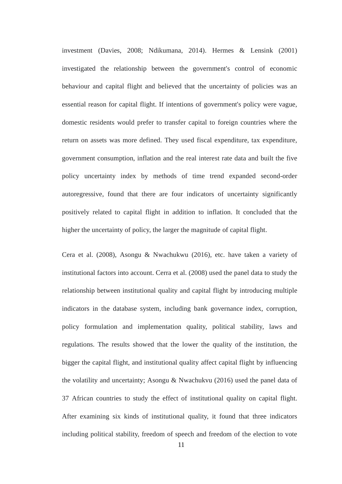investment (Davies, 2008; Ndikumana, 2014). Hermes & Lensink (2001) investigated the relationship between the government's control of economic behaviour and capital flight and believed that the uncertainty of policies was an essential reason for capital flight. If intentions of government's policy were vague, domestic residents would prefer to transfer capital to foreign countries where the return on assets was more defined. They used fiscal expenditure, tax expenditure, government consumption, inflation and the real interest rate data and built the five policy uncertainty index by methods of time trend expanded second-order autoregressive, found that there are four indicators of uncertainty significantly positively related to capital flight in addition to inflation. It concluded that the higher the uncertainty of policy, the larger the magnitude of capital flight.

Cera et al. (2008), Asongu & Nwachukwu (2016), etc. have taken a variety of institutional factors into account. Cerra et al. (2008) used the panel data to study the relationship between institutional quality and capital flight by introducing multiple indicators in the database system, including bank governance index, corruption, policy formulation and implementation quality, political stability, laws and regulations. The results showed that the lower the quality of the institution, the bigger the capital flight, and institutional quality affect capital flight by influencing the volatility and uncertainty; Asongu & Nwachukvu (2016) used the panel data of 37 African countries to study the effect of institutional quality on capital flight. After examining six kinds of institutional quality, it found that three indicators including political stability, freedom of speech and freedom of the election to vote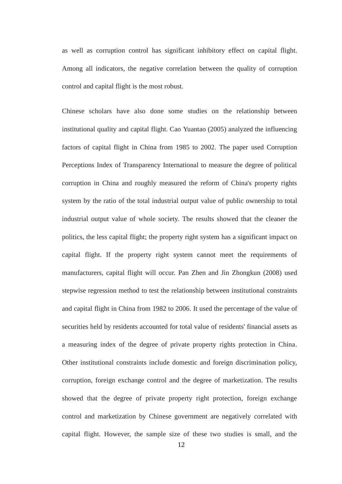as well as corruption control has significant inhibitory effect on capital flight. Among all indicators, the negative correlation between the quality of corruption control and capital flight is the most robust.

Chinese scholars have also done some studies on the relationship between institutional quality and capital flight. Cao Yuantao (2005) analyzed the influencing factors of capital flight in China from 1985 to 2002. The paper used Corruption Perceptions Index of Transparency International to measure the degree of political corruption in China and roughly measured the reform of China's property rights system by the ratio of the total industrial output value of public ownership to total industrial output value of whole society. The results showed that the cleaner the politics, the less capital flight; the property right system has a significant impact on capital flight. If the property right system cannot meet the requirements of manufacturers, capital flight will occur. Pan Zhen and Jin Zhongkun (2008) used stepwise regression method to test the relationship between institutional constraints and capital flight in China from 1982 to 2006. It used the percentage of the value of securities held by residents accounted for total value of residents' financial assets as a measuring index of the degree of private property rights protection in China. Other institutional constraints include domestic and foreign discrimination policy, corruption, foreign exchange control and the degree of marketization. The results showed that the degree of private property right protection, foreign exchange control and marketization by Chinese government are negatively correlated with capital flight. However, the sample size of these two studies is small, and the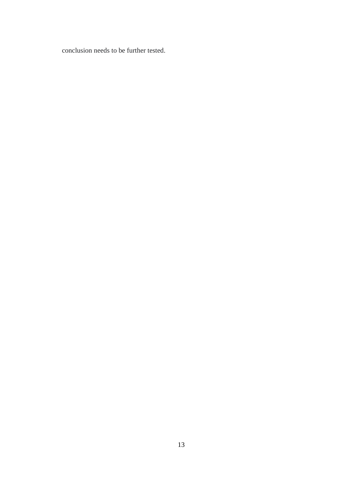conclusion needs to be further tested.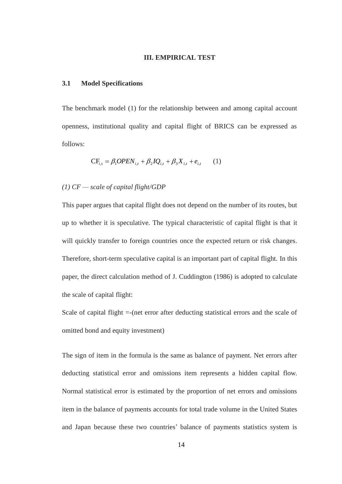#### **III. EMPIRICAL TEST**

#### <span id="page-21-1"></span><span id="page-21-0"></span>**3.1 Model Specifications**

The benchmark model (1) for the relationship between and among capital account openness, institutional quality and capital flight of BRICS can be expressed as follows:

$$
CF_{i,t} = \beta_1 OPEN_{i,t} + \beta_2 IQ_{i,t} + \beta_3 X_{i,t} + e_{i,t} \qquad (1)
$$

#### *(1) CF — scale of capital flight/GDP*

This paper argues that capital flight does not depend on the number of its routes, but up to whether it is speculative. The typical characteristic of capital flight is that it will quickly transfer to foreign countries once the expected return or risk changes. Therefore, short-term speculative capital is an important part of capital flight. In this paper, the direct calculation method of J. Cuddington (1986) is adopted to calculate the scale of capital flight:

Scale of capital flight =-(net error after deducting statistical errors and the scale of omitted bond and equity investment)

The sign of item in the formula is the same as balance of payment. Net errors after deducting statistical error and omissions item represents a hidden capital flow. Normal statistical error is estimated by the proportion of net errors and omissions item in the balance of payments accounts for total trade volume in the United States and Japan because these two countries' balance of payments statistics system is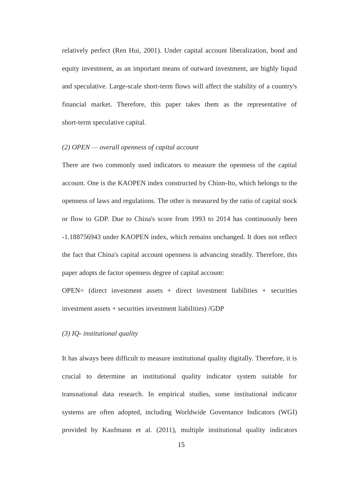relatively perfect (Ren Hui, 2001). Under capital account liberalization, bond and equity investment, as an important means of outward investment, are highly liquid and speculative. Large-scale short-term flows will affect the stability of a country's financial market. Therefore, this paper takes them as the representative of short-term speculative capital.

#### *(2) OPEN — overall openness of capital account*

There are two commonly used indicators to measure the openness of the capital account. One is the KAOPEN index constructed by Chinn-Ito, which belongs to the openness of laws and regulations. The other is measured by the ratio of capital stock or flow to GDP. Due to China's score from 1993 to 2014 has continuously been -1.188756943 under KAOPEN index, which remains unchanged. It does not reflect the fact that China's capital account openness is advancing steadily. Therefore, this paper adopts de factor openness degree of capital account:

 $OPEN=$  (direct investment assets + direct investment liabilities + securities investment assets + securities investment liabilities) /GDP

#### *(3) IQ- institutional quality*

It has always been difficult to measure institutional quality digitally. Therefore, it is crucial to determine an institutional quality indicator system suitable for transnational data research. In empirical studies, some institutional indicator systems are often adopted, including Worldwide Governance Indicators (WGI) provided by Kaufmann et al. (2011), multiple institutional quality indicators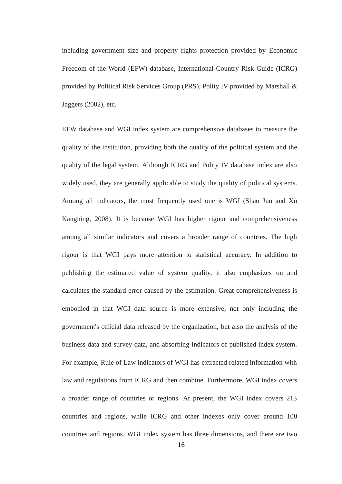including government size and property rights protection provided by Economic Freedom of the World (EFW) database, International Country Risk Guide (ICRG) provided by Political Risk Services Group (PRS), Polity IV provided by Marshall & Jaggers (2002), etc.

EFW database and WGI index system are comprehensive databases to measure the quality of the institution, providing both the quality of the political system and the quality of the legal system. Although ICRG and Polity IV database index are also widely used, they are generally applicable to study the quality of political systems. Among all indicators, the most frequently used one is WGI (Shao Jun and Xu Kangning, 2008). It is because WGI has higher rigour and comprehensiveness among all similar indicators and covers a broader range of countries. The high rigour is that WGI pays more attention to statistical accuracy. In addition to publishing the estimated value of system quality, it also emphasizes on and calculates the standard error caused by the estimation. Great comprehensiveness is embodied in that WGI data source is more extensive, not only including the government's official data released by the organization, but also the analysis of the business data and survey data, and absorbing indicators of published index system. For example, Rule of Law indicators of WGI has extracted related information with law and regulations from ICRG and then combine. Furthermore, WGI index covers a broader range of countries or regions. At present, the WGI index covers 213 countries and regions, while ICRG and other indexes only cover around 100 countries and regions. WGI index system has three dimensions, and there are two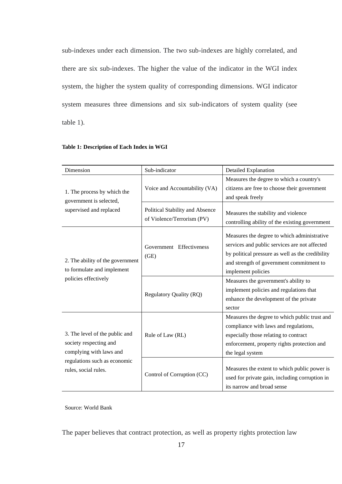sub-indexes under each dimension. The two sub-indexes are highly correlated, and there are six sub-indexes. The higher the value of the indicator in the WGI index system, the higher the system quality of corresponding dimensions. WGI indicator system measures three dimensions and six sub-indicators of system quality (see table 1).

| Dimension                                                                           | Sub-indicator                                                 | Detailed Explanation                                                                                                                                                                                               |  |
|-------------------------------------------------------------------------------------|---------------------------------------------------------------|--------------------------------------------------------------------------------------------------------------------------------------------------------------------------------------------------------------------|--|
| 1. The process by which the<br>government is selected,                              | Voice and Accountability (VA)                                 | Measures the degree to which a country's<br>citizens are free to choose their government<br>and speak freely                                                                                                       |  |
| supervised and replaced                                                             | Political Stability and Absence<br>of Violence/Terrorism (PV) | Measures the stability and violence<br>controlling ability of the existing government                                                                                                                              |  |
| 2. The ability of the government<br>to formulate and implement                      | Government Effectiveness<br>(GE)                              | Measures the degree to which administrative<br>services and public services are not affected<br>by political pressure as well as the credibility<br>and strength of government commitment to<br>implement policies |  |
| policies effectively                                                                | <b>Regulatory Quality (RQ)</b>                                | Measures the government's ability to<br>implement policies and regulations that<br>enhance the development of the private<br>sector                                                                                |  |
| 3. The level of the public and<br>society respecting and<br>complying with laws and | Rule of Law (RL)                                              | Measures the degree to which public trust and<br>compliance with laws and regulations,<br>especially those relating to contract<br>enforcement, property rights protection and<br>the legal system                 |  |
| regulations such as economic<br>rules, social rules.                                | Control of Corruption (CC)                                    | Measures the extent to which public power is<br>used for private gain, including corruption in<br>its narrow and broad sense                                                                                       |  |

#### <span id="page-24-0"></span>**Table 1: Description of Each Index in WGI**

Source: World Bank

The paper believes that contract protection, as well as property rights protection law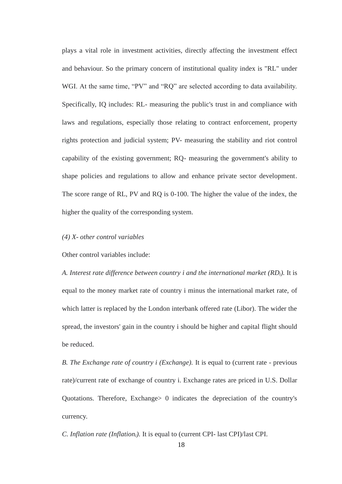plays a vital role in investment activities, directly affecting the investment effect and behaviour. So the primary concern of institutional quality index is "RL" under WGI. At the same time, "PV" and "RO" are selected according to data availability. Specifically, IQ includes: RL- measuring the public's trust in and compliance with laws and regulations, especially those relating to contract enforcement, property rights protection and judicial system; PV- measuring the stability and riot control capability of the existing government; RQ- measuring the government's ability to shape policies and regulations to allow and enhance private sector development. The score range of RL, PV and RQ is 0-100. The higher the value of the index, the higher the quality of the corresponding system.

#### *(4) X- other control variables*

Other control variables include:

*A. Interest rate difference between country i and the international market (RDi).* It is equal to the money market rate of country i minus the international market rate, of which latter is replaced by the London interbank offered rate (Libor). The wider the spread, the investors' gain in the country i should be higher and capital flight should be reduced.

*B. The Exchange rate of country i (Exchange).* It is equal to (current rate - previous rate)/current rate of exchange of country i. Exchange rates are priced in U.S. Dollar Quotations. Therefore, Exchange> 0 indicates the depreciation of the country's currency.

*C. Inflation rate (Inflationi).* It is equal to (current CPI- last CPI)/last CPI.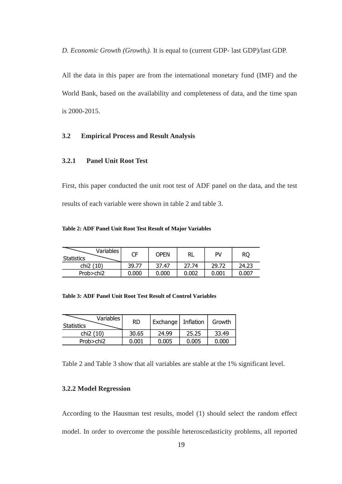*D. Economic Growth (Growthi).* It is equal to (current GDP- last GDP)/last GDP.

All the data in this paper are from the international monetary fund (IMF) and the World Bank, based on the availability and completeness of data, and the time span is 2000-2015.

#### <span id="page-26-0"></span>**3.2 Empirical Process and Result Analysis**

## <span id="page-26-1"></span>**3.2.1 Panel Unit Root Test**

First, this paper conducted the unit root test of ADF panel on the data, and the test results of each variable were shown in table 2 and table 3.

<span id="page-26-3"></span>**Table 2: ADF Panel Unit Root Test Result of Major Variables**

| Variables<br><b>Statistics</b> | CF    | <b>OPEN</b> | RL    | PV    | RQ    |
|--------------------------------|-------|-------------|-------|-------|-------|
| chi2 (10)                      | 39.77 | 37.47       | 27.74 | 29.72 | 24.23 |
| Prob>chi2                      | 0.000 | 0.000       | 0.002 | 0.001 | 0.007 |

<span id="page-26-4"></span>

| Table 3: ADF Panel Unit Root Test Result of Control Variables |  |  |  |
|---------------------------------------------------------------|--|--|--|
|---------------------------------------------------------------|--|--|--|

| Variables<br><b>Statistics</b> | RD    | Exchange   Inflation |       | Growth |
|--------------------------------|-------|----------------------|-------|--------|
| chi <sub>2</sub> (10)          | 30.65 | 24.99                | 25.25 | 33.49  |
| Prob>chi2                      | 0.001 | 0.005                | 0.005 | 0.000  |

<span id="page-26-2"></span>Table 2 and Table 3 show that all variables are stable at the 1% significant level.

#### **3.2.2 Model Regression**

According to the Hausman test results, model (1) should select the random effect model. In order to overcome the possible heteroscedasticity problems, all reported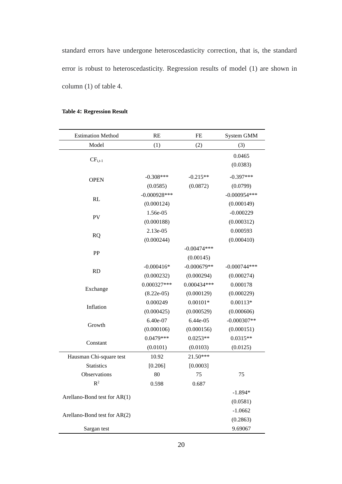standard errors have undergone heteroscedasticity correction, that is, the standard error is robust to heteroscedasticity. Regression results of model (1) are shown in column (1) of table 4.

| <b>Estimation Method</b>     | <b>RE</b>      | FE            | System GMM     |
|------------------------------|----------------|---------------|----------------|
| Model                        | (1)            | (2)           | (3)            |
|                              |                |               | 0.0465         |
| $CF_{i,t-1}$                 |                |               | (0.0383)       |
|                              | $-0.308***$    | $-0.215**$    | $-0.397***$    |
| <b>OPEN</b>                  | (0.0585)       | (0.0872)      | (0.0799)       |
|                              | $-0.000928***$ |               | $-0.000954***$ |
| RL                           | (0.000124)     |               | (0.000149)     |
|                              | 1.56e-05       |               | $-0.000229$    |
| <b>PV</b>                    | (0.000188)     |               | (0.000312)     |
|                              | 2.13e-05       |               | 0.000593       |
| <b>RQ</b>                    | (0.000244)     |               | (0.000410)     |
|                              |                | $-0.00474***$ |                |
| PP                           |                | (0.00145)     |                |
|                              | $-0.000416*$   | $-0.000679**$ | $-0.000744***$ |
| <b>RD</b>                    | (0.000232)     | (0.000294)    | (0.000274)     |
|                              | 0.000327***    | 0.000434***   | 0.000178       |
| Exchange                     | $(8.22e-05)$   | (0.000129)    | (0.000229)     |
|                              | 0.000249       | $0.00101*$    | $0.00113*$     |
| Inflation                    | (0.000425)     | (0.000529)    | (0.000606)     |
|                              | 6.40e-07       | 6.44e-05      | $-0.000307**$  |
| Growth                       | (0.000106)     | (0.000156)    | (0.000151)     |
|                              | 0.0479***      | $0.0253**$    | $0.0315**$     |
| Constant                     | (0.0101)       | (0.0103)      | (0.0125)       |
| Hausman Chi-square test      | 10.92          | 21.50***      |                |
| <b>Statistics</b>            | [0.206]        | [0.0003]      |                |
| Observations                 | 80             | 75            | 75             |
| $\mathbb{R}^2$               | 0.598          | 0.687         |                |
| Arellano-Bond test for AR(1) |                |               | $-1.894*$      |
|                              |                |               | (0.0581)       |
| Arellano-Bond test for AR(2) |                |               | $-1.0662$      |
|                              |                |               | (0.2863)       |
| Sargan test                  |                |               | 9.69067        |

## <span id="page-27-0"></span>**Table 4: Regression Result**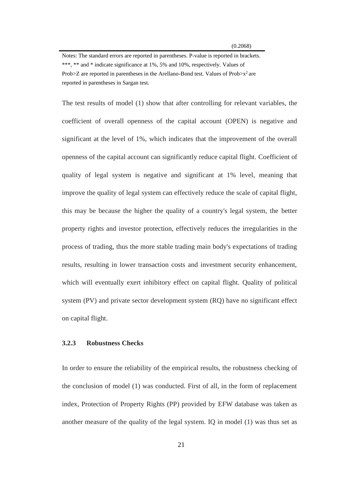Notes: The standard errors are reported in parentheses. P-value is reported in brackets. \*\*\*, \*\* and \* indicate significance at 1%, 5% and 10%, respectively. Values of Prob $\geq$ Z are reported in parentheses in the Arellano-Bond test. Values of Prob $\geq$ x<sup>2</sup> are reported in parentheses in Sargan test.

The test results of model (1) show that after controlling for relevant variables, the coefficient of overall openness of the capital account (OPEN) is negative and significant at the level of 1%, which indicates that the improvement of the overall openness of the capital account can significantly reduce capital flight. Coefficient of quality of legal system is negative and significant at 1% level, meaning that improve the quality of legal system can effectively reduce the scale of capital flight, this may be because the higher the quality of a country's legal system, the better property rights and investor protection, effectively reduces the irregularities in the process of trading, thus the more stable trading main body's expectations of trading results, resulting in lower transaction costs and investment security enhancement, which will eventually exert inhibitory effect on capital flight. Quality of political system (PV) and private sector development system (RQ) have no significant effect on capital flight.

#### <span id="page-28-0"></span>**3.2.3 Robustness Checks**

In order to ensure the reliability of the empirical results, the robustness checking of the conclusion of model (1) was conducted. First of all, in the form of replacement index, Protection of Property Rights (PP) provided by EFW database was taken as another measure of the quality of the legal system. IQ in model (1) was thus set as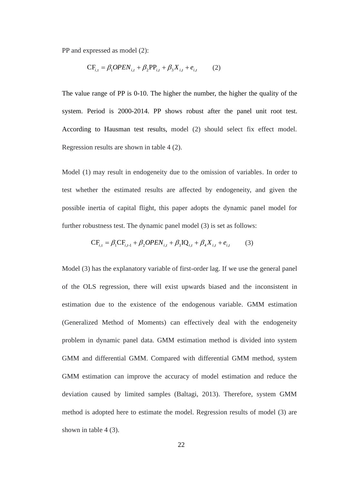PP and expressed as model (2):

$$
CF_{i,t} = \beta_1 OPEN_{i,t} + \beta_2 PP_{i,t} + \beta_3 X_{i,t} + e_{i,t}
$$
 (2)

The value range of PP is 0-10. The higher the number, the higher the quality of the system. Period is 2000-2014. PP shows robust after the panel unit root test. According to Hausman test results, model (2) should select fix effect model. Regression results are shown in table 4 (2).

Model (1) may result in endogeneity due to the omission of variables. In order to test whether the estimated results are affected by endogeneity, and given the possible inertia of capital flight, this paper adopts the dynamic panel model for further robustness test. The dynamic panel model (3) is set as follows:

$$
CF_{i,t} = \beta_1 CF_{i,t-1} + \beta_2 OPEN_{i,t} + \beta_3 IQ_{i,t} + \beta_4 X_{i,t} + e_{i,t}
$$
 (3)

Model (3) has the explanatory variable of first-order lag. If we use the general panel of the OLS regression, there will exist upwards biased and the inconsistent in estimation due to the existence of the endogenous variable. GMM estimation (Generalized Method of Moments) can effectively deal with the endogeneity problem in dynamic panel data. GMM estimation method is divided into system GMM and differential GMM. Compared with differential GMM method, system GMM estimation can improve the accuracy of model estimation and reduce the deviation caused by limited samples (Baltagi, 2013). Therefore, system GMM method is adopted here to estimate the model. Regression results of model (3) are shown in table 4 (3).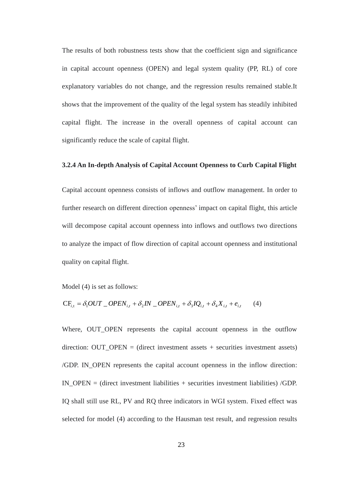The results of both robustness tests show that the coefficient sign and significance in capital account openness (OPEN) and legal system quality (PP, RL) of core explanatory variables do not change, and the regression results remained stable.It shows that the improvement of the quality of the legal system has steadily inhibited capital flight. The increase in the overall openness of capital account can significantly reduce the scale of capital flight.

#### <span id="page-30-0"></span>**3.2.4 An In-depth Analysis of Capital Account Openness to Curb Capital Flight**

Capital account openness consists of inflows and outflow management. In order to further research on different direction openness' impact on capital flight, this article will decompose capital account openness into inflows and outflows two directions to analyze the impact of flow direction of capital account openness and institutional quality on capital flight.

Model (4) is set as follows:

$$
CF_{i,t} = \delta_1 OUT \_ OPEN_{i,t} + \delta_2 IN \_ OPEN_{i,t} + \delta_3 IQ_{i,t} + \delta_4 X_{i,t} + e_{i,t} \tag{4}
$$

Where, OUT\_OPEN represents the capital account openness in the outflow direction:  $OUT\_OPEN = (direct investment assets + securities investment assets)$ /GDP. IN\_OPEN represents the capital account openness in the inflow direction: IN\_OPEN = (direct investment liabilities + securities investment liabilities) /GDP. IQ shall still use RL, PV and RQ three indicators in WGI system. Fixed effect was selected for model (4) according to the Hausman test result, and regression results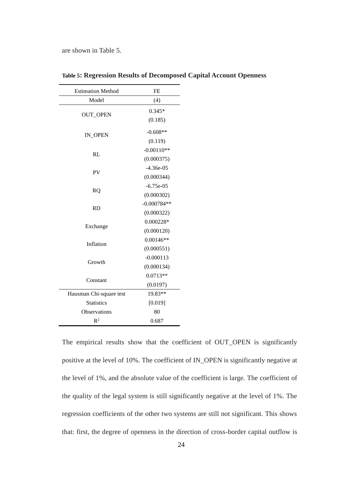<span id="page-31-0"></span>are shown in Table 5.

| <b>Estimation Method</b> | <b>FE</b>     |  |  |
|--------------------------|---------------|--|--|
| Model                    | (4)           |  |  |
|                          | $0.345*$      |  |  |
| <b>OUT_OPEN</b>          | (0.185)       |  |  |
| IN OPEN                  | $-0.608**$    |  |  |
|                          | (0.119)       |  |  |
| RL                       | $-0.00110**$  |  |  |
|                          | (0.000375)    |  |  |
|                          | $-4.36e-05$   |  |  |
| PV                       | (0.000344)    |  |  |
|                          | $-6.75e-05$   |  |  |
| <b>RQ</b>                | (0.000302)    |  |  |
|                          | $-0.000784**$ |  |  |
| <b>RD</b>                | (0.000322)    |  |  |
|                          | $0.000228*$   |  |  |
| Exchange                 | (0.000120)    |  |  |
|                          | $0.00146**$   |  |  |
| Inflation                | (0.000551)    |  |  |
|                          | $-0.000113$   |  |  |
| Growth                   | (0.000134)    |  |  |
|                          | $0.0713**$    |  |  |
| Constant                 | (0.0197)      |  |  |
| Hausman Chi-square test  | 19.83**       |  |  |
| <b>Statistics</b>        | [0.019]       |  |  |
| <b>Observations</b>      | 80            |  |  |
| $R^2$                    | 0.687         |  |  |

**Table 5: Regression Results of Decomposed Capital Account Openness**

The empirical results show that the coefficient of OUT\_OPEN is significantly positive at the level of 10%. The coefficient of IN\_OPEN is significantly negative at the level of 1%, and the absolute value of the coefficient is large. The coefficient of the quality of the legal system is still significantly negative at the level of 1%. The regression coefficients of the other two systems are still not significant. This shows that: first, the degree of openness in the direction of cross-border capital outflow is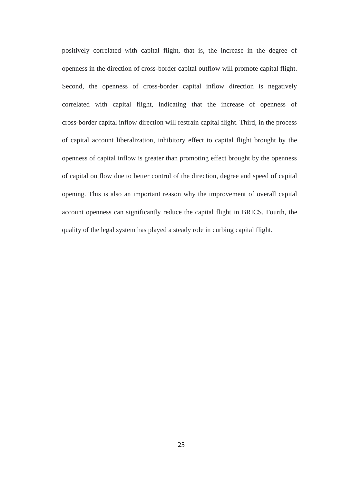positively correlated with capital flight, that is, the increase in the degree of openness in the direction of cross-border capital outflow will promote capital flight. Second, the openness of cross-border capital inflow direction is negatively correlated with capital flight, indicating that the increase of openness of cross-border capital inflow direction will restrain capital flight. Third, in the process of capital account liberalization, inhibitory effect to capital flight brought by the openness of capital inflow is greater than promoting effect brought by the openness of capital outflow due to better control of the direction, degree and speed of capital opening. This is also an important reason why the improvement of overall capital account openness can significantly reduce the capital flight in BRICS. Fourth, the quality of the legal system has played a steady role in curbing capital flight.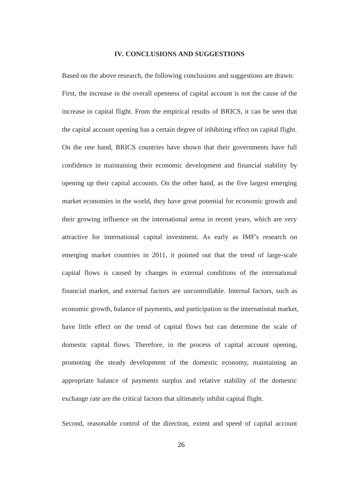#### **IV. CONCLUSIONS AND SUGGESTIONS**

<span id="page-33-0"></span>Based on the above research, the following conclusions and suggestions are drawn: First, the increase in the overall openness of capital account is not the cause of the increase in capital flight. From the empirical results of BRICS, it can be seen that the capital account opening has a certain degree of inhibiting effect on capital flight. On the one hand, BRICS countries have shown that their governments have full confidence in maintaining their economic development and financial stability by opening up their capital accounts. On the other hand, as the five largest emerging market economies in the world, they have great potential for economic growth and their growing influence on the international arena in recent years, which are very attractive for international capital investment. As early as IMF's research on emerging market countries in 2011, it pointed out that the trend of large-scale capital flows is caused by changes in external conditions of the international financial market, and external factors are uncontrollable. Internal factors, such as economic growth, balance of payments, and participation in the international market, have little effect on the trend of capital flows but can determine the scale of domestic capital flows. Therefore, in the process of capital account opening, promoting the steady development of the domestic economy, maintaining an appropriate balance of payments surplus and relative stability of the domestic exchange rate are the critical factors that ultimately inhibit capital flight.

Second, reasonable control of the direction, extent and speed of capital account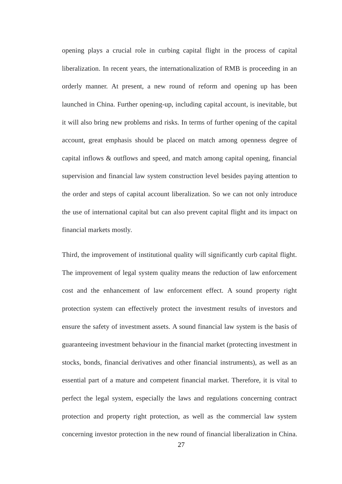opening plays a crucial role in curbing capital flight in the process of capital liberalization. In recent years, the internationalization of RMB is proceeding in an orderly manner. At present, a new round of reform and opening up has been launched in China. Further opening-up, including capital account, is inevitable, but it will also bring new problems and risks. In terms of further opening of the capital account, great emphasis should be placed on match among openness degree of capital inflows & outflows and speed, and match among capital opening, financial supervision and financial law system construction level besides paying attention to the order and steps of capital account liberalization. So we can not only introduce the use of international capital but can also prevent capital flight and its impact on financial markets mostly.

Third, the improvement of institutional quality will significantly curb capital flight. The improvement of legal system quality means the reduction of law enforcement cost and the enhancement of law enforcement effect. A sound property right protection system can effectively protect the investment results of investors and ensure the safety of investment assets. A sound financial law system is the basis of guaranteeing investment behaviour in the financial market (protecting investment in stocks, bonds, financial derivatives and other financial instruments), as well as an essential part of a mature and competent financial market. Therefore, it is vital to perfect the legal system, especially the laws and regulations concerning contract protection and property right protection, as well as the commercial law system concerning investor protection in the new round of financial liberalization in China.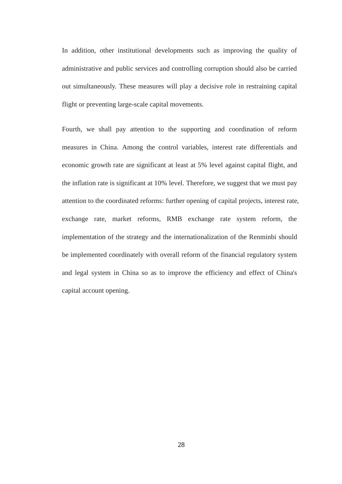In addition, other institutional developments such as improving the quality of administrative and public services and controlling corruption should also be carried out simultaneously. These measures will play a decisive role in restraining capital flight or preventing large-scale capital movements.

Fourth, we shall pay attention to the supporting and coordination of reform measures in China. Among the control variables, interest rate differentials and economic growth rate are significant at least at 5% level against capital flight, and the inflation rate is significant at 10% level. Therefore, we suggest that we must pay attention to the coordinated reforms: further opening of capital projects, interest rate, exchange rate, market reforms, RMB exchange rate system reform, the implementation of the strategy and the internationalization of the Renminbi should be implemented coordinately with overall reform of the financial regulatory system and legal system in China so as to improve the efficiency and effect of China's capital account opening.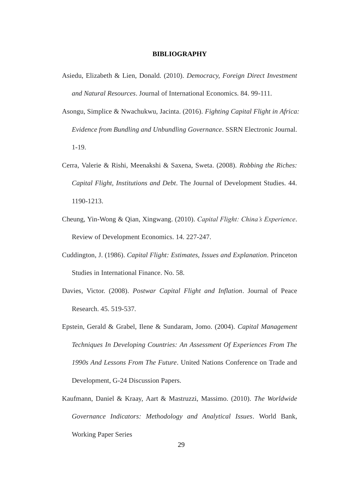#### **BIBLIOGRAPHY**

- <span id="page-36-0"></span>Asiedu, Elizabeth & Lien, Donald. (2010). *Democracy, Foreign Direct Investment and Natural Resources*. Journal of International Economics. 84. 99-111.
- Asongu, Simplice & Nwachukwu, Jacinta. (2016). *Fighting Capital Flight in Africa: Evidence from Bundling and Unbundling Governance*. SSRN Electronic Journal. 1-19.
- Cerra, Valerie & Rishi, Meenakshi & Saxena, Sweta. (2008). *Robbing the Riches: Capital Flight, Institutions and Debt*. The Journal of Development Studies. 44. 1190-1213.
- Cheung, Yin-Wong & Qian, Xingwang. (2010). *Capital Flight: China's Experience*. Review of Development Economics. 14. 227-247.
- Cuddington, J. (1986). *Capital Flight: Estimates, Issues and Explanation*. Princeton Studies in International Finance. No. 58.
- Davies, Victor. (2008). *Postwar Capital Flight and Inflation*. Journal of Peace Research. 45. 519-537.
- Epstein, Gerald & Grabel, Ilene & Sundaram, Jomo. (2004). *Capital Management Techniques In Developing Countries: An Assessment Of Experiences From The 1990s And Lessons From The Future*. United Nations Conference on Trade and Development, G-24 Discussion Papers.
- Kaufmann, Daniel & Kraay, Aart & Mastruzzi, Massimo. (2010). *The Worldwide Governance Indicators: Methodology and Analytical Issues*. World Bank, Working Paper Series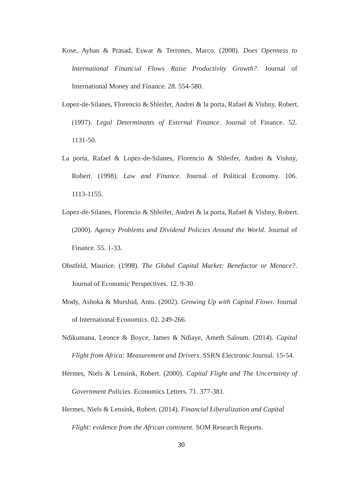- Kose, Ayhan & Prasad, Eswar & Terrones, Marco. (2008). *Does Openness to International Financial Flows Raise Productivity Growth?*. Journal of International Money and Finance. 28. 554-580.
- Lopez-de-Silanes, Florencio & Shleifer, Andrei & la porta, Rafael & Vishny, Robert. (1997). *Legal Determinants of External Finance*. Journal of Finance. 52. 1131-50.
- La porta, Rafael & Lopez-de-Silanes, Florencio & Shleifer, Andrei & Vishny, Robert. (1998). *Law and Finance*. Journal of Political Economy. 106. 1113-1155.
- Lopez-de-Silanes, Florencio & Shleifer, Andrei & la porta, Rafael & Vishny, Robert. (2000). *Agency Problems and Dividend Policies Around the World*. Journal of Finance. 55. 1-33.
- Obstfeld, Maurice. (1998). *The Global Capital Market: Benefactor or Menace?*. Journal of Economic Perspectives. 12. 9-30.
- Mody, Ashoka & Murshid, Antu. (2002). *Growing Up with Capital Flows*. Journal of International Economics. 02. 249-266.
- Ndikumana, Leonce & Boyce, James & Ndiaye, Ameth Saloum. (2014). *Capital Flight from Africa: Measurement and Drivers*. SSRN Electronic Journal. 15-54.
- Hermes, Niels & Lensink, Robert. (2000). *Capital Flight and The Uncertainty of Government Policies.* Economics Letters. 71. 377-381.
- Hermes, Niels & Lensink, Robert. (2014). *Financial Liberalization and Capital Flight: evidence from the African continent.* SOM Research Reports.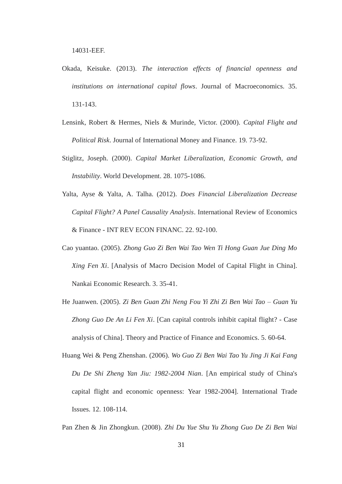- Okada, Keisuke. (2013). *The interaction effects of financial openness and institutions on international capital flows*. Journal of Macroeconomics. 35. 131-143.
- Lensink, Robert & Hermes, Niels & Murinde, Victor. (2000). *Capital Flight and Political Risk*. Journal of International Money and Finance. 19. 73-92.
- Stiglitz, Joseph. (2000). *Capital Market Liberalization, Economic Growth, and Instability*. World Development. 28. 1075-1086.
- Yalta, Ayse & Yalta, A. Talha. (2012). *Does Financial Liberalization Decrease Capital Flight? A Panel Causality Analysis*. International Review of Economics & Finance - INT REV ECON FINANC. 22. 92-100.
- Cao yuantao. (2005). *Zhong Guo Zi Ben Wai Tao Wen Ti Hong Guan Jue Ding Mo Xing Fen Xi*. [Analysis of Macro Decision Model of Capital Flight in China]. Nankai Economic Research. 3. 35-41.
- He Juanwen. (2005). *Zi Ben Guan Zhi Neng Fou Yi Zhi Zi Ben Wai Tao – Guan Yu Zhong Guo De An Li Fen Xi*. [Can capital controls inhibit capital flight? - Case analysis of China]. Theory and Practice of Finance and Economics. 5. 60-64.
- Huang Wei & Peng Zhenshan. (2006). *Wo Guo Zi Ben Wai Tao Yu Jing Ji Kai Fang Du De Shi Zheng Yan Jiu: 1982-2004 Nian*. [An empirical study of China's capital flight and economic openness: Year 1982-2004]. International Trade Issues. 12. 108-114.

Pan Zhen & Jin Zhongkun. (2008). *Zhi Du Yue Shu Yu Zhong Guo De Zi Ben Wai*